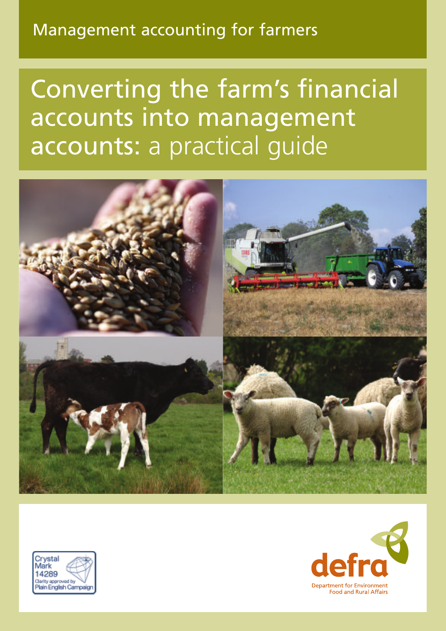# Management accounting for farmers

Converting the farm's financial accounts into management accounts: a practical guide





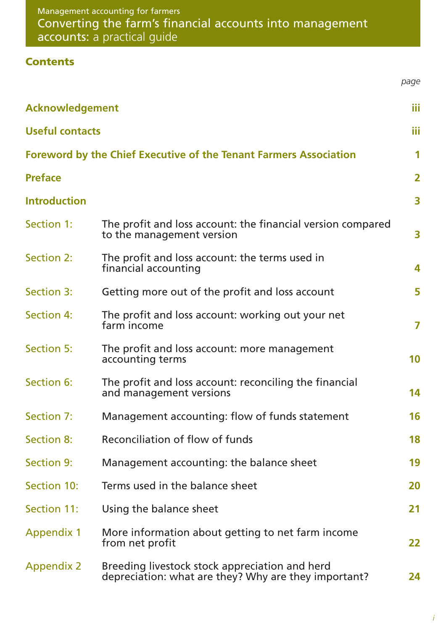# **Contents**

|                        |                                                                                                        | page                    |
|------------------------|--------------------------------------------------------------------------------------------------------|-------------------------|
| <b>Acknowledgement</b> |                                                                                                        | Ш                       |
| <b>Useful contacts</b> |                                                                                                        | Ш                       |
|                        | <b>Foreword by the Chief Executive of the Tenant Farmers Association</b>                               | 1                       |
| <b>Preface</b>         |                                                                                                        | $\overline{2}$          |
| <b>Introduction</b>    |                                                                                                        | $\overline{\mathbf{3}}$ |
| Section 1:             | The profit and loss account: the financial version compared<br>to the management version               | 3                       |
| Section 2:             | The profit and loss account: the terms used in<br>financial accounting                                 | 4                       |
| Section 3:             | Getting more out of the profit and loss account                                                        | 5                       |
| Section 4:             | The profit and loss account: working out your net<br>farm income                                       | 7                       |
| <b>Section 5:</b>      | The profit and loss account: more management<br>accounting terms                                       | 10                      |
| Section 6:             | The profit and loss account: reconciling the financial<br>and management versions                      | 14                      |
| Section 7:             | Management accounting: flow of funds statement                                                         | 16                      |
| <b>Section 8:</b>      | Reconciliation of flow of funds                                                                        | 18                      |
| <b>Section 9:</b>      | Management accounting: the balance sheet                                                               | 19                      |
| Section 10:            | Terms used in the balance sheet                                                                        | 20                      |
| Section 11:            | Using the balance sheet                                                                                | 21                      |
| <b>Appendix 1</b>      | More information about getting to net farm income<br>from net profit                                   | 22                      |
| <b>Appendix 2</b>      | Breeding livestock stock appreciation and herd<br>depreciation: what are they? Why are they important? | 24                      |

*i*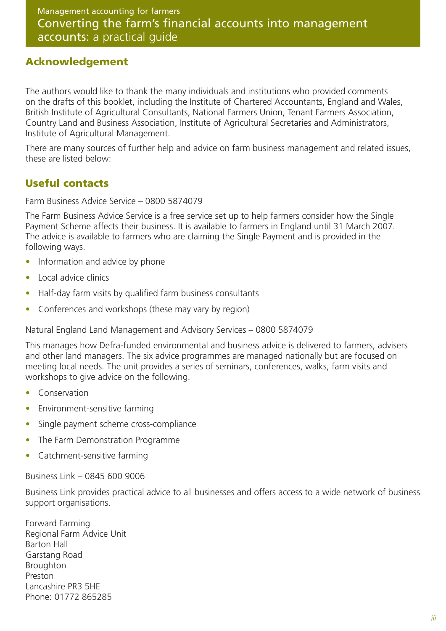#### **Acknowledgement**

The authors would like to thank the many individuals and institutions who provided comments on the drafts of this booklet, including the Institute of Chartered Accountants, England and Wales, British Institute of Agricultural Consultants, National Farmers Union, Tenant Farmers Association, Country Land and Business Association, Institute of Agricultural Secretaries and Administrators, Institute of Agricultural Management.

There are many sources of further help and advice on farm business management and related issues, these are listed below:

### **Useful contacts**

Farm Business Advice Service – 0800 5874079

The Farm Business Advice Service is a free service set up to help farmers consider how the Single Payment Scheme affects their business. It is available to farmers in England until 31 March 2007. The advice is available to farmers who are claiming the Single Payment and is provided in the following ways.

- Information and advice by phone
- Local advice clinics
- Half-day farm visits by qualified farm business consultants
- Conferences and workshops (these may vary by region)

Natural England Land Management and Advisory Services – 0800 5874079

This manages how Defra-funded environmental and business advice is delivered to farmers, advisers and other land managers. The six advice programmes are managed nationally but are focused on meeting local needs. The unit provides a series of seminars, conferences, walks, farm visits and workshops to give advice on the following.

- **Conservation**
- Environment-sensitive farming
- Single payment scheme cross-compliance
- The Farm Demonstration Programme
- Catchment-sensitive farming

Business Link – 0845 600 9006

Business Link provides practical advice to all businesses and offers access to a wide network of business support organisations.

Forward Farming Regional Farm Advice Unit Barton Hall Garstang Road Broughton Preston Lancashire PR3 5HE Phone: 01772 865285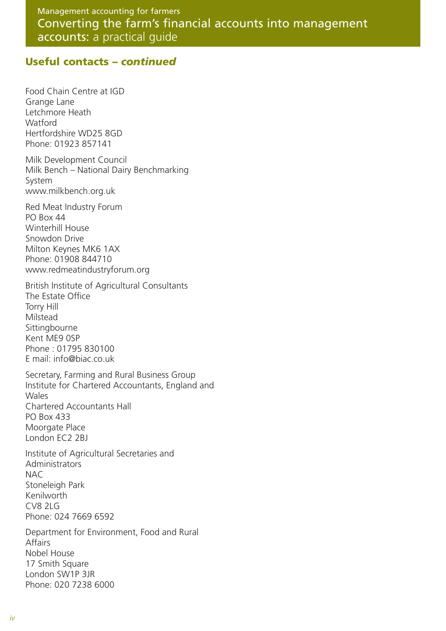#### **Useful contacts –** *continued*

Food Chain Centre at IGD Grange Lane Letchmore Heath **Watford** Hertfordshire WD25 8GD Phone: 01923 857141

Milk Development Council Milk Bench – National Dairy Benchmarking System www.milkbench.org.uk

Red Meat Industry Forum PO Box 44 Winterhill House Snowdon Drive Milton Keynes MK6 1AX Phone: 01908 844710 www.redmeatindustryforum.org

British Institute of Agricultural Consultants The Estate Office Torry Hill Milstead Sittingbourne Kent ME9 0SP Phone : 01795 830100 E mail: info@biac.co.uk

Secretary, Farming and Rural Business Group Institute for Chartered Accountants, England and Wales Chartered Accountants Hall PO Box 433 Moorgate Place London EC2 2BJ

Institute of Agricultural Secretaries and **Administrators** NAC Stoneleigh Park Kenilworth CV8 2LG Phone: 024 7669 6592

Department for Environment, Food and Rural Affairs Nobel House 17 Smith Square London SW1P 3JR Phone: 020 7238 6000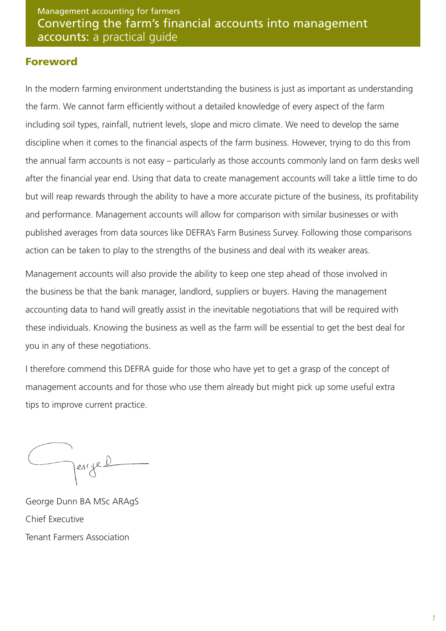#### **Foreword**

In the modern farming environment undertstanding the business is just as important as understanding the farm. We cannot farm efficiently without a detailed knowledge of every aspect of the farm including soil types, rainfall, nutrient levels, slope and micro climate. We need to develop the same discipline when it comes to the financial aspects of the farm business. However, trying to do this from the annual farm accounts is not easy – particularly as those accounts commonly land on farm desks well after the financial year end. Using that data to create management accounts will take a little time to do but will reap rewards through the ability to have a more accurate picture of the business, its profitability and performance. Management accounts will allow for comparison with similar businesses or with published averages from data sources like DEFRA's Farm Business Survey. Following those comparisons action can be taken to play to the strengths of the business and deal with its weaker areas.

Management accounts will also provide the ability to keep one step ahead of those involved in the business be that the bank manager, landlord, suppliers or buyers. Having the management accounting data to hand will greatly assist in the inevitable negotiations that will be required with these individuals. Knowing the business as well as the farm will be essential to get the best deal for you in any of these negotiations.

I therefore commend this DEFRA guide for those who have yet to get a grasp of the concept of management accounts and for those who use them already but might pick up some useful extra tips to improve current practice.

pesige!

George Dunn BA MSc ARAgS Chief Executive Tenant Farmers Association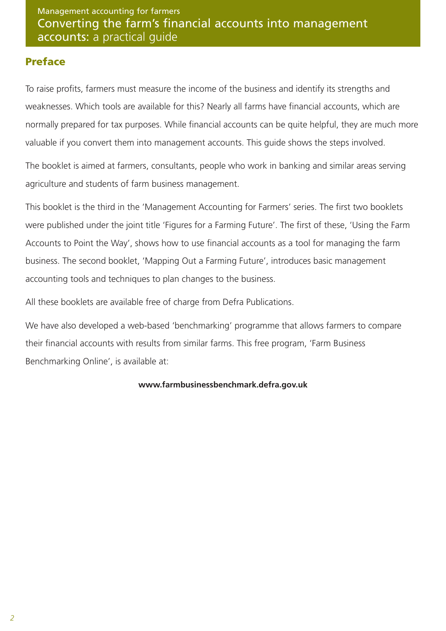### **Preface**

To raise profits, farmers must measure the income of the business and identify its strengths and weaknesses. Which tools are available for this? Nearly all farms have financial accounts, which are normally prepared for tax purposes. While financial accounts can be quite helpful, they are much more valuable if you convert them into management accounts. This guide shows the steps involved.

The booklet is aimed at farmers, consultants, people who work in banking and similar areas serving agriculture and students of farm business management.

This booklet is the third in the 'Management Accounting for Farmers' series. The first two booklets were published under the joint title 'Figures for a Farming Future'. The first of these, 'Using the Farm Accounts to Point the Way', shows how to use financial accounts as a tool for managing the farm business. The second booklet, 'Mapping Out a Farming Future', introduces basic management accounting tools and techniques to plan changes to the business.

All these booklets are available free of charge from Defra Publications.

We have also developed a web-based 'benchmarking' programme that allows farmers to compare their financial accounts with results from similar farms. This free program, 'Farm Business Benchmarking Online', is available at:

#### **www.farmbusinessbenchmark.defra.gov.uk**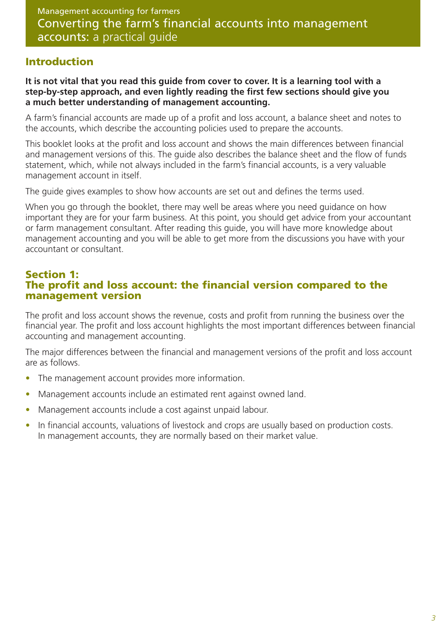### **Introduction**

**It is not vital that you read this guide from cover to cover. It is a learning tool with a step-by-step approach, and even lightly reading the first few sections should give you a much better understanding of management accounting.**

A farm's financial accounts are made up of a profit and loss account, a balance sheet and notes to the accounts, which describe the accounting policies used to prepare the accounts.

This booklet looks at the profit and loss account and shows the main differences between financial and management versions of this. The guide also describes the balance sheet and the flow of funds statement, which, while not always included in the farm's financial accounts, is a very valuable management account in itself.

The guide gives examples to show how accounts are set out and defines the terms used.

When you go through the booklet, there may well be areas where you need guidance on how important they are for your farm business. At this point, you should get advice from your accountant or farm management consultant. After reading this guide, you will have more knowledge about management accounting and you will be able to get more from the discussions you have with your accountant or consultant.

### **Section 1: The profit and loss account: the financial version compared to the management version**

The profit and loss account shows the revenue, costs and profit from running the business over the financial year. The profit and loss account highlights the most important differences between financial accounting and management accounting.

The major differences between the financial and management versions of the profit and loss account are as follows.

- The management account provides more information.
- Management accounts include an estimated rent against owned land.
- Management accounts include a cost against unpaid labour.
- In financial accounts, valuations of livestock and crops are usually based on production costs. In management accounts, they are normally based on their market value.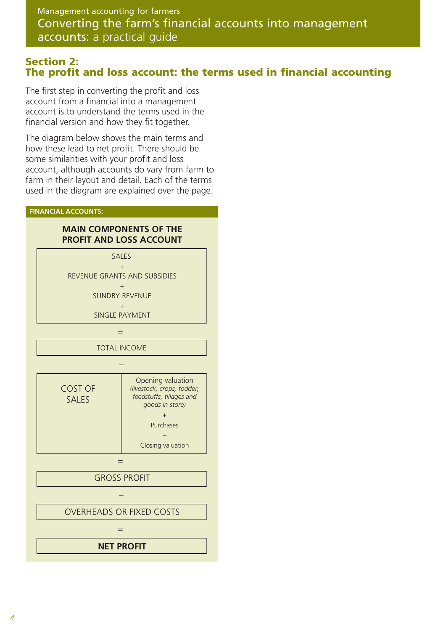#### **Section 2: The profit and loss account: the terms used in financial accounting**

The first step in converting the profit and loss account from a financial into a management account is to understand the terms used in the financial version and how they fit together.

The diagram below shows the main terms and how these lead to net profit. There should be some similarities with your profit and loss account, although accounts do vary from farm to farm in their layout and detail. Each of the terms used in the diagram are explained over the page.

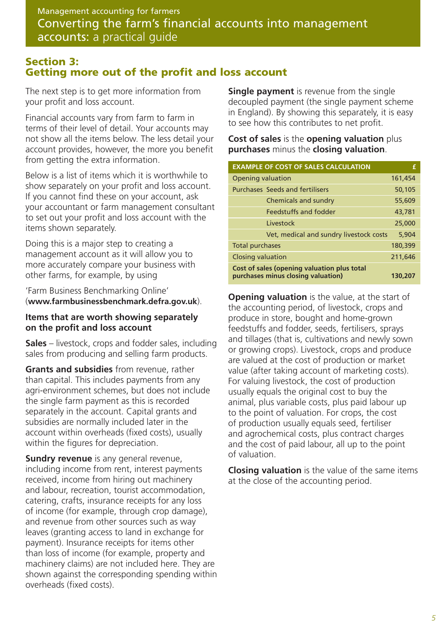#### **Section 3: Getting more out of the profit and loss account**

The next step is to get more information from your profit and loss account.

Financial accounts vary from farm to farm in terms of their level of detail. Your accounts may not show all the items below. The less detail your account provides, however, the more you benefit from getting the extra information.

Below is a list of items which it is worthwhile to show separately on your profit and loss account. If you cannot find these on your account, ask your accountant or farm management consultant to set out your profit and loss account with the items shown separately.

Doing this is a major step to creating a management account as it will allow you to more accurately compare your business with other farms, for example, by using

'Farm Business Benchmarking Online' (**www.farmbusinessbenchmark.defra.gov.uk**).

#### **Items that are worth showing separately on the profit and loss account**

**Sales** – livestock, crops and fodder sales, including sales from producing and selling farm products.

**Grants and subsidies** from revenue, rather than capital. This includes payments from any agri-environment schemes, but does not include the single farm payment as this is recorded separately in the account. Capital grants and subsidies are normally included later in the account within overheads (fixed costs), usually within the figures for depreciation.

**Sundry revenue** is any general revenue, including income from rent, interest payments received, income from hiring out machinery and labour, recreation, tourist accommodation, catering, crafts, insurance receipts for any loss of income (for example, through crop damage), and revenue from other sources such as way leaves (granting access to land in exchange for payment). Insurance receipts for items other than loss of income (for example, property and machinery claims) are not included here. They are shown against the corresponding spending within overheads (fixed costs).

**Single payment** is revenue from the single decoupled payment (the single payment scheme in England). By showing this separately, it is easy to see how this contributes to net profit.

**Cost of sales** is the **opening valuation** plus **purchases** minus the **closing valuation**.

| <b>EXAMPLE OF COST OF SALES CALCULATION</b>                                       |         |  |  |
|-----------------------------------------------------------------------------------|---------|--|--|
| <b>Opening valuation</b>                                                          | 161,454 |  |  |
| <b>Purchases Seeds and fertilisers</b>                                            | 50,105  |  |  |
| Chemicals and sundry                                                              | 55,609  |  |  |
| Feedstuffs and fodder                                                             | 43,781  |  |  |
| Livestock                                                                         | 25,000  |  |  |
| Vet, medical and sundry livestock costs                                           | 5.904   |  |  |
| <b>Total purchases</b>                                                            | 180,399 |  |  |
| <b>Closing valuation</b>                                                          | 211,646 |  |  |
| Cost of sales (opening valuation plus total<br>purchases minus closing valuation) | 130,207 |  |  |

**Opening valuation** is the value, at the start of the accounting period, of livestock, crops and produce in store, bought and home-grown feedstuffs and fodder, seeds, fertilisers, sprays and tillages (that is, cultivations and newly sown or growing crops). Livestock, crops and produce are valued at the cost of production or market value (after taking account of marketing costs). For valuing livestock, the cost of production usually equals the original cost to buy the animal, plus variable costs, plus paid labour up to the point of valuation. For crops, the cost of production usually equals seed, fertiliser and agrochemical costs, plus contract charges and the cost of paid labour, all up to the point of valuation.

**Closing valuation** is the value of the same items at the close of the accounting period.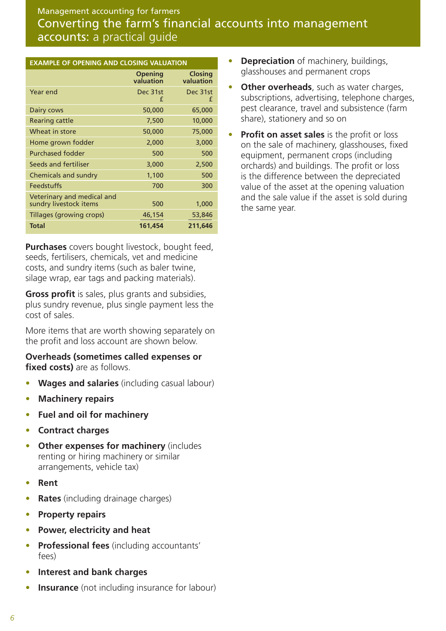| <b>EXAMPLE OF OPENING AND CLOSING VALUATION</b>      |                             |                             |  |
|------------------------------------------------------|-----------------------------|-----------------------------|--|
|                                                      | <b>Opening</b><br>valuation | <b>Closing</b><br>valuation |  |
| Year end                                             | Dec 31st<br>f               | Dec 31st<br>f               |  |
| Dairy cows                                           | 50,000                      | 65,000                      |  |
| <b>Rearing cattle</b>                                | 7,500                       | 10,000                      |  |
| Wheat in store                                       | 50,000                      | 75,000                      |  |
| Home grown fodder                                    | 2,000                       | 3,000                       |  |
| <b>Purchased fodder</b>                              | 500                         | 500                         |  |
| Seeds and fertiliser                                 | 3,000                       | 2,500                       |  |
| Chemicals and sundry                                 | 1,100                       | 500                         |  |
| <b>Feedstuffs</b>                                    | 700                         | 300                         |  |
| Veterinary and medical and<br>sundry livestock items | 500                         | 1,000                       |  |
| Tillages (growing crops)                             | 46,154                      | 53,846                      |  |
| <b>Total</b>                                         | 161,454                     | 211,646                     |  |

**Purchases** covers bought livestock, bought feed, seeds, fertilisers, chemicals, vet and medicine costs, and sundry items (such as baler twine, silage wrap, ear tags and packing materials).

**Gross profit** is sales, plus grants and subsidies, plus sundry revenue, plus single payment less the cost of sales.

More items that are worth showing separately on the profit and loss account are shown below.

#### **Overheads (sometimes called expenses or fixed costs)** are as follows.

- **Wages and salaries** (including casual labour)
- **Machinery repairs**
- **Fuel and oil for machinery**
- **Contract charges**
- **Other expenses for machinery** (includes renting or hiring machinery or similar arrangements, vehicle tax)
- **Rent**
- **Rates** (including drainage charges)
- **Property repairs**
- **Power, electricity and heat**
- **Professional fees** (including accountants' fees)
- **Interest and bank charges**
- **Insurance** (not including insurance for labour)
- **Depreciation** of machinery, buildings, glasshouses and permanent crops
- **Other overheads**, such as water charges, subscriptions, advertising, telephone charges, pest clearance, travel and subsistence (farm share), stationery and so on
- **Profit on asset sales** is the profit or loss on the sale of machinery, glasshouses, fixed equipment, permanent crops (including orchards) and buildings. The profit or loss is the difference between the depreciated value of the asset at the opening valuation and the sale value if the asset is sold during the same year.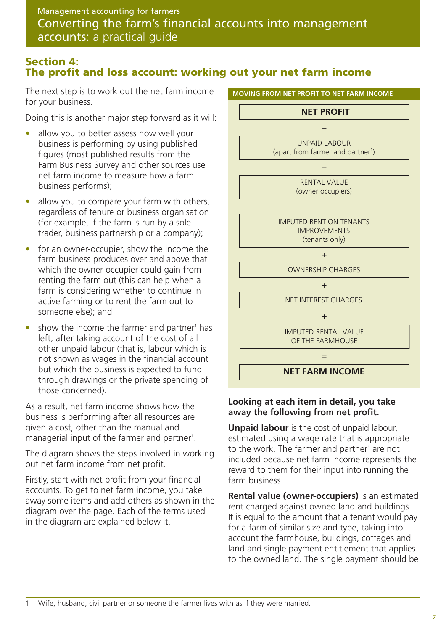### **Section 4: The profit and loss account: working out your net farm income**

The next step is to work out the net farm income for your business.

Doing this is another major step forward as it will:

- allow you to better assess how well your business is performing by using published figures (most published results from the Farm Business Survey and other sources use net farm income to measure how a farm business performs);
- allow you to compare your farm with others, regardless of tenure or business organisation (for example, if the farm is run by a sole trader, business partnership or a company);
- for an owner-occupier, show the income the farm business produces over and above that which the owner-occupier could gain from renting the farm out (this can help when a farm is considering whether to continue in active farming or to rent the farm out to someone else); and
- $\bullet$  show the income the farmer and partner<sup>1</sup> has left, after taking account of the cost of all other unpaid labour (that is, labour which is not shown as wages in the financial account but which the business is expected to fund through drawings or the private spending of those concerned).

As a result, net farm income shows how the business is performing after all resources are given a cost, other than the manual and managerial input of the farmer and partner<sup>1</sup>.

The diagram shows the steps involved in working out net farm income from net profit.

Firstly, start with net profit from your financial accounts. To get to net farm income, you take away some items and add others as shown in the diagram over the page. Each of the terms used in the diagram are explained below it.



#### **Looking at each item in detail, you take away the following from net profit.**

**Unpaid labour** is the cost of unpaid labour, estimated using a wage rate that is appropriate to the work. The farmer and partner<sup>1</sup> are not included because net farm income represents the reward to them for their input into running the farm business.

**Rental value (owner-occupiers)** is an estimated rent charged against owned land and buildings. It is equal to the amount that a tenant would pay for a farm of similar size and type, taking into account the farmhouse, buildings, cottages and land and single payment entitlement that applies to the owned land. The single payment should be

Wife, husband, civil partner or someone the farmer lives with as if they were married.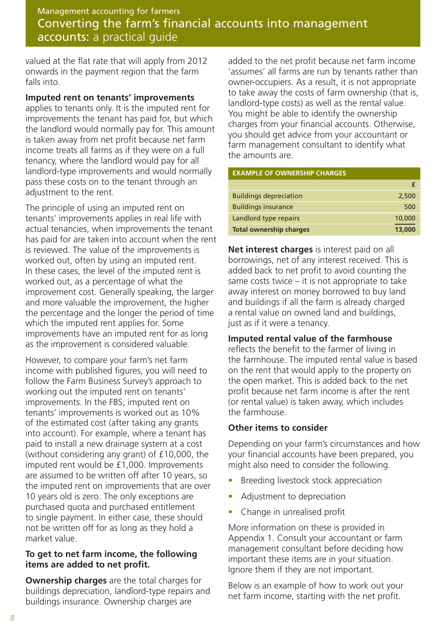valued at the flat rate that will apply from 2012 onwards in the payment region that the farm falls into.

#### **Imputed rent on tenants' improvements**

applies to tenants only. It is the imputed rent for improvements the tenant has paid for, but which the landlord would normally pay for. This amount is taken away from net profit because net farm income treats all farms as if they were on a full tenancy, where the landlord would pay for all landlord-type improvements and would normally pass these costs on to the tenant through an adjustment to the rent.

The principle of using an imputed rent on tenants' improvements applies in real life with actual tenancies, when improvements the tenant has paid for are taken into account when the rent is reviewed. The value of the improvements is worked out, often by using an imputed rent. In these cases, the level of the imputed rent is worked out, as a percentage of what the improvement cost. Generally speaking, the larger and more valuable the improvement, the higher the percentage and the longer the period of time which the imputed rent applies for. Some improvements have an imputed rent for as long as the improvement is considered valuable.

However, to compare your farm's net farm income with published figures, you will need to follow the Farm Business Survey's approach to working out the imputed rent on tenants' improvements. In the FBS, imputed rent on tenants' improvements is worked out as 10% of the estimated cost (after taking any grants into account). For example, where a tenant has paid to install a new drainage system at a cost (without considering any grant) of £10,000, the imputed rent would be £1,000. Improvements are assumed to be written off after 10 years, so the imputed rent on improvements that are over 10 years old is zero. The only exceptions are purchased quota and purchased entitlement to single payment. In either case, these should not be written off for as long as they hold a market value.

#### **To get to net farm income, the following items are added to net profit.**

**Ownership charges** are the total charges for buildings depreciation, landlord-type repairs and buildings insurance. Ownership charges are

added to the net profit because net farm income 'assumes' all farms are run by tenants rather than owner-occupiers. As a result, it is not appropriate to take away the costs of farm ownership (that is, landlord-type costs) as well as the rental value. You might be able to identify the ownership charges from your financial accounts. Otherwise, you should get advice from your accountant or farm management consultant to identify what the amounts are.

#### **EXAMPLE OF OWNERSHIP CHARGES**

| <b>Buildings depreciation</b>  | 2,500  |
|--------------------------------|--------|
| <b>Buildings insurance</b>     | 500    |
| Landlord type repairs          | 10,000 |
| <b>Total ownership charges</b> | 13,000 |

**Net interest charges** is interest paid on all borrowings, net of any interest received. This is added back to net profit to avoid counting the same costs twice  $-$  it is not appropriate to take away interest on money borrowed to buy land and buildings if all the farm is already charged a rental value on owned land and buildings, just as if it were a tenancy.

#### **Imputed rental value of the farmhouse**

reflects the benefit to the farmer of living in the farmhouse. The imputed rental value is based on the rent that would apply to the property on the open market. This is added back to the net profit because net farm income is after the rent (or rental value) is taken away, which includes the farmhouse.

#### **Other items to consider**

Depending on your farm's circumstances and how your financial accounts have been prepared, you might also need to consider the following.

- Breeding livestock stock appreciation
- Adjustment to depreciation
- Change in unrealised profit

More information on these is provided in Appendix 1. Consult your accountant or farm management consultant before deciding how important these items are in your situation. Ignore them if they are not important.

Below is an example of how to work out your net farm income, starting with the net profit.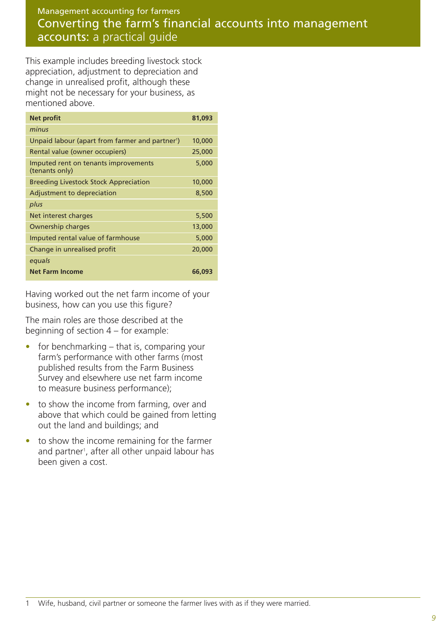This example includes breeding livestock stock appreciation, adjustment to depreciation and change in unrealised profit, although these might not be necessary for your business, as mentioned above.

| <b>Net profit</b>                                           | 81,093 |
|-------------------------------------------------------------|--------|
| minus                                                       |        |
| Unpaid labour (apart from farmer and partner <sup>1</sup> ) | 10,000 |
| Rental value (owner occupiers)                              | 25,000 |
| Imputed rent on tenants improvements<br>(tenants only)      | 5,000  |
| <b>Breeding Livestock Stock Appreciation</b>                | 10,000 |
| Adjustment to depreciation                                  | 8,500  |
| plus                                                        |        |
| Net interest charges                                        | 5,500  |
| Ownership charges                                           | 13,000 |
| Imputed rental value of farmhouse                           | 5,000  |
| Change in unrealised profit                                 | 20,000 |
| equals                                                      |        |
| <b>Net Farm Income</b>                                      | 66,093 |

Having worked out the net farm income of your business, how can you use this figure?

The main roles are those described at the beginning of section 4 – for example:

- $\bullet$  for benchmarking that is, comparing your farm's performance with other farms (most published results from the Farm Business Survey and elsewhere use net farm income to measure business performance);
- to show the income from farming, over and above that which could be gained from letting out the land and buildings; and
- to show the income remaining for the farmer and partner<sup>1</sup>, after all other unpaid labour has been given a cost.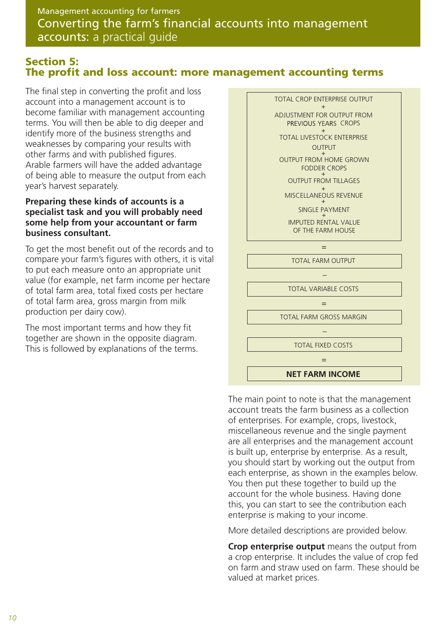#### **Section 5: The profit and loss account: more management accounting terms**

The final step in converting the profit and loss account into a management account is to become familiar with management accounting terms. You will then be able to dig deeper and identify more of the business strengths and weaknesses by comparing your results with other farms and with published figures. Arable farmers will have the added advantage of being able to measure the output from each year's harvest separately.

#### **Preparing these kinds of accounts is a specialist task and you will probably need some help from your accountant or farm business consultant.**

To get the most benefit out of the records and to compare your farm's figures with others, it is vital to put each measure onto an appropriate unit value (for example, net farm income per hectare of total farm area, total fixed costs per hectare of total farm area, gross margin from milk production per dairy cow).

The most important terms and how they fit together are shown in the opposite diagram. This is followed by explanations of the terms.



The main point to note is that the management account treats the farm business as a collection of enterprises. For example, crops, livestock, miscellaneous revenue and the single payment are all enterprises and the management account is built up, enterprise by enterprise. As a result, you should start by working out the output from each enterprise, as shown in the examples below. You then put these together to build up the account for the whole business. Having done this, you can start to see the contribution each enterprise is making to your income.

More detailed descriptions are provided below.

**Crop enterprise output** means the output from a crop enterprise. It includes the value of crop fed on farm and straw used on farm. These should be valued at market prices.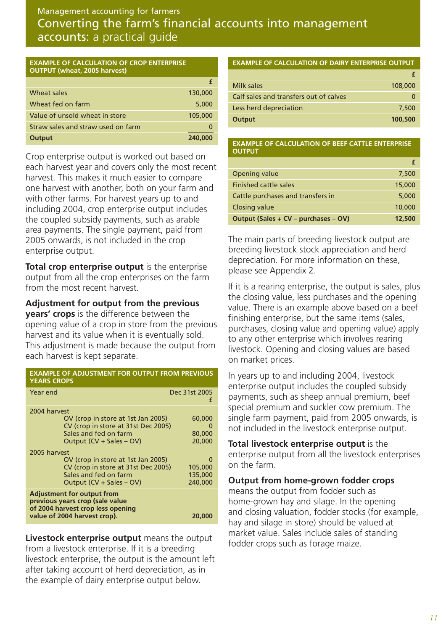#### **EXAMPLE OF CALCULATION OF CROP ENTERPRISE OUTPUT (wheat, 2005 harvest)**

| Wheat sales                        | 130,000 |
|------------------------------------|---------|
| Wheat fed on farm                  | 5,000   |
| Value of unsold wheat in store     | 105,000 |
| Straw sales and straw used on farm |         |
| Output                             | 240,000 |

Crop enterprise output is worked out based on each harvest year and covers only the most recent harvest. This makes it much easier to compare one harvest with another, both on your farm and with other farms. For harvest years up to and including 2004, crop enterprise output includes the coupled subsidy payments, such as arable area payments. The single payment, paid from 2005 onwards, is not included in the crop enterprise output.

**Total crop enterprise output** is the enterprise output from all the crop enterprises on the farm from the most recent harvest.

**Adjustment for output from the previous years' crops** is the difference between the opening value of a crop in store from the previous harvest and its value when it is eventually sold. This adjustment is made because the output from each harvest is kept separate.

| <b>EXAMPLE OF ADJUSTMENT FOR OUTPUT FROM PREVIOUS</b><br><b>YEARS CROPS</b>                                                                    |                                                 |  |  |
|------------------------------------------------------------------------------------------------------------------------------------------------|-------------------------------------------------|--|--|
| Year end                                                                                                                                       | Dec 31st 2005<br>f                              |  |  |
| 2004 harvest<br>OV (crop in store at 1st Jan 2005)<br>CV (crop in store at 31st Dec 2005)<br>Sales and fed on farm<br>Output (CV + Sales – OV) | 60,000<br>$\mathbf{\Omega}$<br>80,000<br>20,000 |  |  |
| 2005 harvest<br>OV (crop in store at 1st Jan 2005)<br>CV (crop in store at 31st Dec 2005)<br>Sales and fed on farm<br>Output (CV + Sales – OV) | 0<br>105,000<br>135,000<br>240,000              |  |  |
| <b>Adjustment for output from</b><br>previous years crop (sale value<br>of 2004 harvest crop less opening<br>value of 2004 harvest crop).      | 20,000                                          |  |  |

**Livestock enterprise output** means the output from a livestock enterprise. If it is a breeding livestock enterprise, the output is the amount left after taking account of herd depreciation, as in the example of dairy enterprise output below.

#### **EXAMPLE OF CALCULATION OF DAIRY ENTERPRISE OUTPUT**

| Milk sales                             | 108,000 |
|----------------------------------------|---------|
| Calf sales and transfers out of calves |         |
| Less herd depreciation                 | 7.500   |
| Output                                 | 100,500 |

#### **EXAMPLE OF CALCULATION OF BEEF CATTLE ENTERPRISE OUTPUT**

| Opening value                        | 7,500  |
|--------------------------------------|--------|
| <b>Finished cattle sales</b>         | 15,000 |
| Cattle purchases and transfers in    | 5,000  |
| <b>Closing value</b>                 | 10,000 |
| Output (Sales + CV – purchases – OV) | 12,500 |

The main parts of breeding livestock output are breeding livestock stock appreciation and herd depreciation. For more information on these, please see Appendix 2.

If it is a rearing enterprise, the output is sales, plus the closing value, less purchases and the opening value. There is an example above based on a beef finishing enterprise, but the same items (sales, purchases, closing value and opening value) apply to any other enterprise which involves rearing livestock. Opening and closing values are based on market prices.

In years up to and including 2004, livestock enterprise output includes the coupled subsidy payments, such as sheep annual premium, beef special premium and suckler cow premium. The single farm payment, paid from 2005 onwards, is not included in the livestock enterprise output.

**Total livestock enterprise output** is the enterprise output from all the livestock enterprises on the farm.

#### **Output from home-grown fodder crops**

means the output from fodder such as home-grown hay and silage. In the opening and closing valuation, fodder stocks (for example, hay and silage in store) should be valued at market value. Sales include sales of standing fodder crops such as forage maize.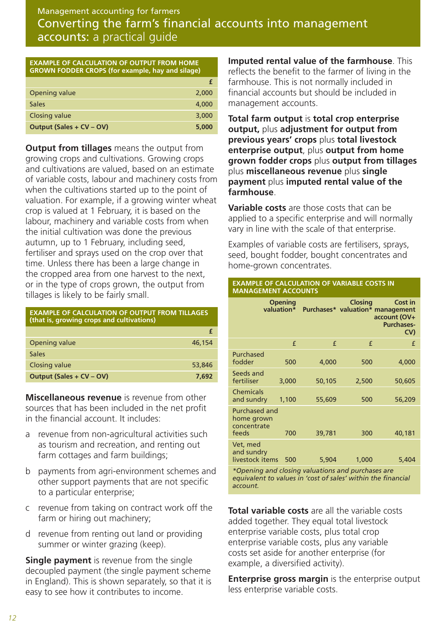| <b>EXAMPLE OF CALCULATION OF OUTPUT FROM HOME</b><br><b>GROWN FODDER CROPS (for example, hay and silage)</b> |       |  |
|--------------------------------------------------------------------------------------------------------------|-------|--|
|                                                                                                              |       |  |
| Opening value                                                                                                | 2,000 |  |
| <b>Sales</b>                                                                                                 | 4,000 |  |
| <b>Closing value</b>                                                                                         | 3,000 |  |
| Output (Sales + CV - OV)                                                                                     | 5,000 |  |

**Output from tillages** means the output from growing crops and cultivations. Growing crops and cultivations are valued, based on an estimate of variable costs, labour and machinery costs from when the cultivations started up to the point of valuation. For example, if a growing winter wheat crop is valued at 1 February, it is based on the labour, machinery and variable costs from when the initial cultivation was done the previous autumn, up to 1 February, including seed, fertiliser and sprays used on the crop over that time. Unless there has been a large change in the cropped area from one harvest to the next, or in the type of crops grown, the output from tillages is likely to be fairly small.

| <b>EXAMPLE OF CALCULATION OF OUTPUT FROM TILLAGES</b><br>(that is, growing crops and cultivations) |        |  |
|----------------------------------------------------------------------------------------------------|--------|--|
|                                                                                                    |        |  |
| Opening value                                                                                      | 46,154 |  |
| <b>Sales</b>                                                                                       |        |  |
| <b>Closing value</b>                                                                               | 53,846 |  |
| Output (Sales + CV – OV)                                                                           | 7.692  |  |

**Miscellaneous revenue** is revenue from other sources that has been included in the net profit in the financial account. It includes:

- a revenue from non-agricultural activities such as tourism and recreation, and renting out farm cottages and farm buildings;
- b payments from agri-environment schemes and other support payments that are not specific to a particular enterprise;
- c revenue from taking on contract work off the farm or hiring out machinery;
- d revenue from renting out land or providing summer or winter grazing (keep).

**Single payment** is revenue from the single decoupled payment (the single payment scheme in England). This is shown separately, so that it is easy to see how it contributes to income.

**Imputed rental value of the farmhouse**. This reflects the benefit to the farmer of living in the farmhouse. This is not normally included in financial accounts but should be included in management accounts.

**Total farm output** is **total crop enterprise output,** plus **adjustment for output from previous years' crops** plus **total livestock enterprise output**, plus **output from home grown fodder crops** plus **output from tillages** plus **miscellaneous revenue** plus **single payment** plus **imputed rental value of the farmhouse**.

**Variable costs** are those costs that can be applied to a specific enterprise and will normally vary in line with the scale of that enterprise.

Examples of variable costs are fertilisers, sprays, seed, bought fodder, bought concentrates and home-grown concentrates.

#### **EXAMPLE OF CALCULATION OF VARIABLE COSTS IN MANAGEMENT ACCOUNTS**

|                                                            | <b>Opening</b><br>valuation* |        | <b>Closing</b> | <b>Cost in</b><br>Purchases* valuation* management<br>account (OV+<br><b>Purchases-</b><br>CV) |
|------------------------------------------------------------|------------------------------|--------|----------------|------------------------------------------------------------------------------------------------|
|                                                            | £                            | f      | f              | f                                                                                              |
| Purchased<br>fodder                                        | 500                          | 4,000  | 500            | 4,000                                                                                          |
| Seeds and<br>fertiliser                                    | 3,000                        | 50,105 | 2,500          | 50,605                                                                                         |
| <b>Chemicals</b><br>and sundry                             | 1,100                        | 55,609 | 500            | 56,209                                                                                         |
| <b>Purchased and</b><br>home grown<br>concentrate<br>feeds | 700                          | 39,781 | 300            | 40,181                                                                                         |
| Vet, med<br>and sundry<br>livestock items                  | 500                          | 5,904  | 1,000          | 5,404                                                                                          |

*\*Opening and closing valuations and purchases are equivalent to values in 'cost of sales' within the financial account.* 

**Total variable costs** are all the variable costs added together. They equal total livestock enterprise variable costs, plus total crop enterprise variable costs, plus any variable costs set aside for another enterprise (for example, a diversified activity).

**Enterprise gross margin** is the enterprise output less enterprise variable costs.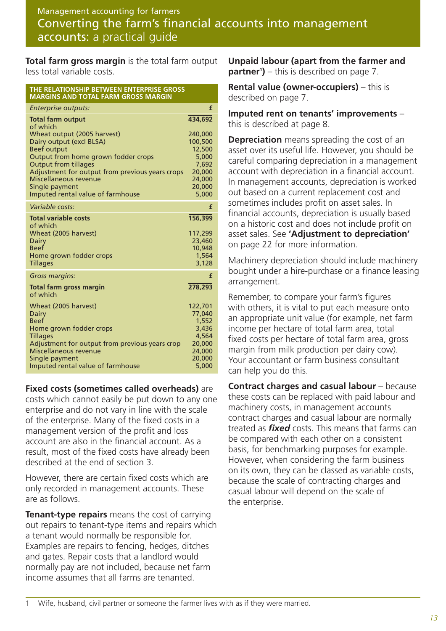**Total farm gross margin** is the total farm output less total variable costs.

| THE RELATIONSHIP BETWEEN ENTERPRISE GROSS<br><b>MARGINS AND TOTAL FARM GROSS MARGIN</b>                                                                                                                                                                                                                                        |                                                                                                  |
|--------------------------------------------------------------------------------------------------------------------------------------------------------------------------------------------------------------------------------------------------------------------------------------------------------------------------------|--------------------------------------------------------------------------------------------------|
| Enterprise outputs:                                                                                                                                                                                                                                                                                                            | £                                                                                                |
| <b>Total farm output</b><br>of which<br>Wheat output (2005 harvest)<br>Dairy output (excl BLSA)<br><b>Beef output</b><br>Output from home grown fodder crops<br><b>Output from tillages</b><br>Adjustment for output from previous years crops<br>Miscellaneous revenue<br>Single payment<br>Imputed rental value of farmhouse | 434,692<br>240,000<br>100,500<br>12,500<br>5,000<br>7,692<br>20,000<br>24,000<br>20,000<br>5,000 |
| Variable costs:                                                                                                                                                                                                                                                                                                                | £                                                                                                |
| <b>Total variable costs</b><br>of which<br>Wheat (2005 harvest)<br><b>Dairy</b><br><b>Beef</b><br>Home grown fodder crops<br><b>Tillages</b>                                                                                                                                                                                   | 156,399<br>117,299<br>23,460<br>10,948<br>1,564<br>3,128                                         |
| Gross margins:                                                                                                                                                                                                                                                                                                                 | £                                                                                                |
| <b>Total farm gross margin</b><br>of which<br>Wheat (2005 harvest)<br><b>Dairy</b><br><b>Beef</b><br>Home grown fodder crops                                                                                                                                                                                                   | 278,293<br>122,701<br>77,040<br>1,552<br>3,436                                                   |
| <b>Tillages</b><br>Adjustment for output from previous years crop<br>Miscellaneous revenue<br>Single payment<br>Imputed rental value of farmhouse                                                                                                                                                                              | 4,564<br>20,000<br>24,000<br>20,000<br>5,000                                                     |

**Fixed costs (sometimes called overheads)** are

costs which cannot easily be put down to any one enterprise and do not vary in line with the scale of the enterprise. Many of the fixed costs in a management version of the profit and loss account are also in the financial account. As a result, most of the fixed costs have already been described at the end of section 3.

However, there are certain fixed costs which are only recorded in management accounts. These are as follows.

**Tenant-type repairs** means the cost of carrying out repairs to tenant-type items and repairs which a tenant would normally be responsible for. Examples are repairs to fencing, hedges, ditches and gates. Repair costs that a landlord would normally pay are not included, because net farm income assumes that all farms are tenanted.

**Unpaid labour (apart from the farmer and partner<sup>1</sup>)** – this is described on page 7.

**Rental value (owner-occupiers)** – this is described on page 7.

**Imputed rent on tenants' improvements** – this is described at page 8.

**Depreciation** means spreading the cost of an asset over its useful life. However, you should be careful comparing depreciation in a management account with depreciation in a financial account. In management accounts, depreciation is worked out based on a current replacement cost and sometimes includes profit on asset sales. In financial accounts, depreciation is usually based on a historic cost and does not include profit on asset sales. See **'Adjustment to depreciation'** on page 22 for more information.

Machinery depreciation should include machinery bought under a hire-purchase or a finance leasing arrangement.

Remember, to compare your farm's figures with others, it is vital to put each measure onto an appropriate unit value (for example, net farm income per hectare of total farm area, total fixed costs per hectare of total farm area, gross margin from milk production per dairy cow). Your accountant or farm business consultant can help you do this.

**Contract charges and casual labour** – because these costs can be replaced with paid labour and machinery costs, in management accounts contract charges and casual labour are normally treated as *fixed* costs. This means that farms can be compared with each other on a consistent basis, for benchmarking purposes for example. However, when considering the farm business on its own, they can be classed as variable costs, because the scale of contracting charges and casual labour will depend on the scale of the enterprise.

Wife, husband, civil partner or someone the farmer lives with as if they were married.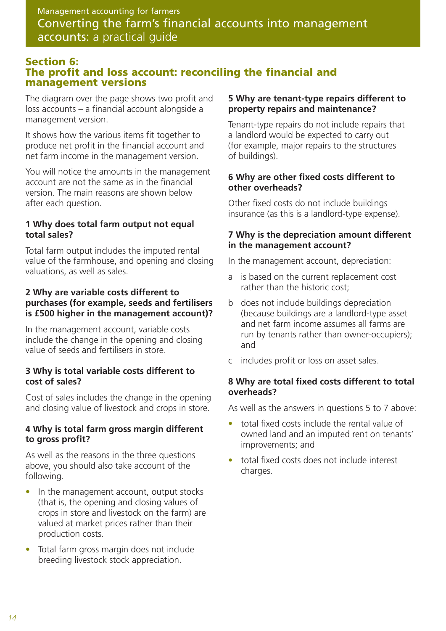#### **Section 6: The profit and loss account: reconciling the financial and management versions**

The diagram over the page shows two profit and loss accounts – a financial account alongside a management version.

It shows how the various items fit together to produce net profit in the financial account and net farm income in the management version.

You will notice the amounts in the management account are not the same as in the financial version. The main reasons are shown below after each question.

#### **1 Why does total farm output not equal total sales?**

Total farm output includes the imputed rental value of the farmhouse, and opening and closing valuations, as well as sales.

#### **2 Why are variable costs different to purchases (for example, seeds and fertilisers is £500 higher in the management account)?**

In the management account, variable costs include the change in the opening and closing value of seeds and fertilisers in store.

#### **3 Why is total variable costs different to cost of sales?**

Cost of sales includes the change in the opening and closing value of livestock and crops in store.

#### **4 Why is total farm gross margin different to gross profit?**

As well as the reasons in the three questions above, you should also take account of the following.

- In the management account, output stocks (that is, the opening and closing values of crops in store and livestock on the farm) are valued at market prices rather than their production costs.
- Total farm gross margin does not include breeding livestock stock appreciation.

#### **5 Why are tenant-type repairs different to property repairs and maintenance?**

Tenant-type repairs do not include repairs that a landlord would be expected to carry out (for example, major repairs to the structures of buildings).

#### **6 Why are other fixed costs different to other overheads?**

Other fixed costs do not include buildings insurance (as this is a landlord-type expense).

#### **7 Why is the depreciation amount different in the management account?**

In the management account, depreciation:

- a is based on the current replacement cost rather than the historic cost;
- b does not include buildings depreciation (because buildings are a landlord-type asset and net farm income assumes all farms are run by tenants rather than owner-occupiers); and
- c includes profit or loss on asset sales.

#### **8 Why are total fixed costs different to total overheads?**

As well as the answers in questions 5 to 7 above:

- total fixed costs include the rental value of owned land and an imputed rent on tenants' improvements; and
- total fixed costs does not include interest charges.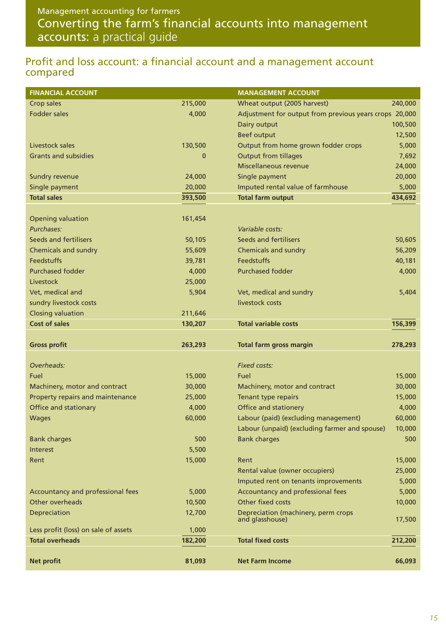### Profit and loss account: a financial account and a management account compared

| <b>FINANCIAL ACCOUNT</b>             |             | <b>MANAGEMENT ACCOUNT</b>                              |         |
|--------------------------------------|-------------|--------------------------------------------------------|---------|
| Crop sales                           | 215,000     | Wheat output (2005 harvest)                            | 240,000 |
| <b>Fodder sales</b>                  | 4,000       | Adjustment for output from previous years crops 20,000 |         |
|                                      |             | Dairy output                                           | 100,500 |
|                                      |             | Beef output                                            | 12,500  |
| Livestock sales                      | 130,500     | Output from home grown fodder crops                    | 5,000   |
| <b>Grants and subsidies</b>          | $\mathbf 0$ | <b>Output from tillages</b>                            | 7,692   |
|                                      |             | Miscellaneous revenue                                  | 24,000  |
| Sundry revenue                       | 24,000      | Single payment                                         | 20,000  |
| Single payment                       | 20,000      | Imputed rental value of farmhouse                      | 5,000   |
| <b>Total sales</b>                   | 393,500     | <b>Total farm output</b>                               | 434,692 |
|                                      |             |                                                        |         |
| <b>Opening valuation</b>             | 161,454     |                                                        |         |
| Purchases:                           |             | Variable costs:                                        |         |
| <b>Seeds and fertilisers</b>         | 50,105      | <b>Seeds and fertilisers</b>                           | 50,605  |
| <b>Chemicals and sundry</b>          | 55,609      | <b>Chemicals and sundry</b>                            | 56,209  |
| <b>Feedstuffs</b>                    | 39,781      | <b>Feedstuffs</b>                                      | 40,181  |
| <b>Purchased fodder</b>              | 4,000       | <b>Purchased fodder</b>                                | 4,000   |
| Livestock                            | 25,000      |                                                        |         |
| Vet, medical and                     | 5,904       | Vet, medical and sundry                                | 5,404   |
| sundry livestock costs               |             | livestock costs                                        |         |
| <b>Closing valuation</b>             | 211,646     |                                                        |         |
| <b>Cost of sales</b>                 | 130,207     | <b>Total variable costs</b>                            | 156,399 |
|                                      |             |                                                        |         |
| <b>Gross profit</b>                  | 263,293     | <b>Total farm gross margin</b>                         | 278,293 |
| Overheads:                           |             | <b>Fixed costs:</b>                                    |         |
| Fuel                                 | 15,000      | Fuel                                                   | 15,000  |
| Machinery, motor and contract        | 30,000      | Machinery, motor and contract                          | 30,000  |
| Property repairs and maintenance     | 25,000      | Tenant type repairs                                    | 15,000  |
| Office and stationary                | 4,000       | <b>Office and stationery</b>                           | 4,000   |
| <b>Wages</b>                         | 60,000      | Labour (paid) (excluding management)                   | 60,000  |
|                                      |             | Labour (unpaid) (excluding farmer and spouse)          | 10,000  |
| <b>Bank charges</b>                  | 500         | <b>Bank charges</b>                                    | 500     |
| Interest                             | 5,500       |                                                        |         |
| Rent                                 | 15,000      | Rent                                                   | 15,000  |
|                                      |             | Rental value (owner occupiers)                         | 25,000  |
|                                      |             | Imputed rent on tenants improvements                   |         |
|                                      |             |                                                        | 5,000   |
| Accountancy and professional fees    | 5,000       | Accountancy and professional fees                      | 5,000   |
| Other overheads                      | 10,500      | Other fixed costs                                      | 10,000  |
| Depreciation                         | 12,700      | Depreciation (machinery, perm crops<br>and glasshouse) | 17,500  |
| Less profit (loss) on sale of assets | 1,000       |                                                        |         |
| <b>Total overheads</b>               | 182,200     | <b>Total fixed costs</b>                               | 212,200 |
| <b>Net profit</b>                    | 81,093      | <b>Net Farm Income</b>                                 | 66,093  |
|                                      |             |                                                        |         |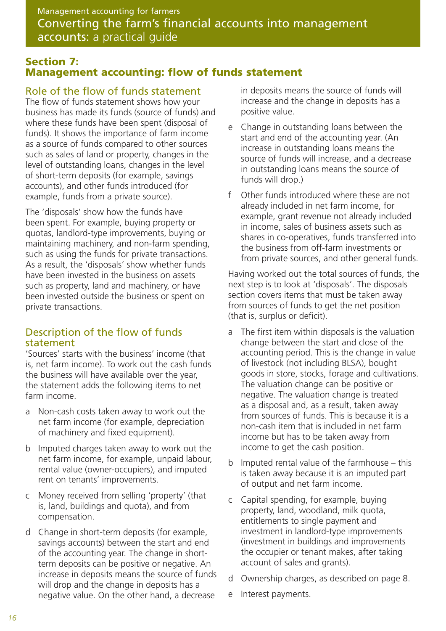### **Section 7: Management accounting: flow of funds statement**

### Role of the flow of funds statement

The flow of funds statement shows how your business has made its funds (source of funds) and where these funds have been spent (disposal of funds). It shows the importance of farm income as a source of funds compared to other sources such as sales of land or property, changes in the level of outstanding loans, changes in the level of short-term deposits (for example, savings accounts), and other funds introduced (for example, funds from a private source).

The 'disposals' show how the funds have been spent. For example, buying property or quotas, landlord-type improvements, buying or maintaining machinery, and non-farm spending, such as using the funds for private transactions. As a result, the 'disposals' show whether funds have been invested in the business on assets such as property, land and machinery, or have been invested outside the business or spent on private transactions.

### Description of the flow of funds statement

'Sources' starts with the business' income (that is, net farm income). To work out the cash funds the business will have available over the year, the statement adds the following items to net farm income.

- a Non-cash costs taken away to work out the net farm income (for example, depreciation of machinery and fixed equipment).
- b Imputed charges taken away to work out the net farm income, for example, unpaid labour, rental value (owner-occupiers), and imputed rent on tenants' improvements.
- c Money received from selling 'property' (that is, land, buildings and quota), and from compensation.
- d Change in short-term deposits (for example, savings accounts) between the start and end of the accounting year. The change in shortterm deposits can be positive or negative. An increase in deposits means the source of funds will drop and the change in deposits has a negative value. On the other hand, a decrease

in deposits means the source of funds will increase and the change in deposits has a positive value.

- e Change in outstanding loans between the start and end of the accounting year. (An increase in outstanding loans means the source of funds will increase, and a decrease in outstanding loans means the source of funds will drop.)
- f Other funds introduced where these are not already included in net farm income, for example, grant revenue not already included in income, sales of business assets such as shares in co-operatives, funds transferred into the business from off-farm investments or from private sources, and other general funds.

Having worked out the total sources of funds, the next step is to look at 'disposals'. The disposals section covers items that must be taken away from sources of funds to get the net position (that is, surplus or deficit).

- a The first item within disposals is the valuation change between the start and close of the accounting period. This is the change in value of livestock (not including BLSA), bought goods in store, stocks, forage and cultivations. The valuation change can be positive or negative. The valuation change is treated as a disposal and, as a result, taken away from sources of funds. This is because it is a non-cash item that is included in net farm income but has to be taken away from income to get the cash position.
- b Imputed rental value of the farmhouse this is taken away because it is an imputed part of output and net farm income.
- c Capital spending, for example, buying property, land, woodland, milk quota, entitlements to single payment and investment in landlord-type improvements (investment in buildings and improvements the occupier or tenant makes, after taking account of sales and grants).
- d Ownership charges, as described on page 8.
- e Interest payments.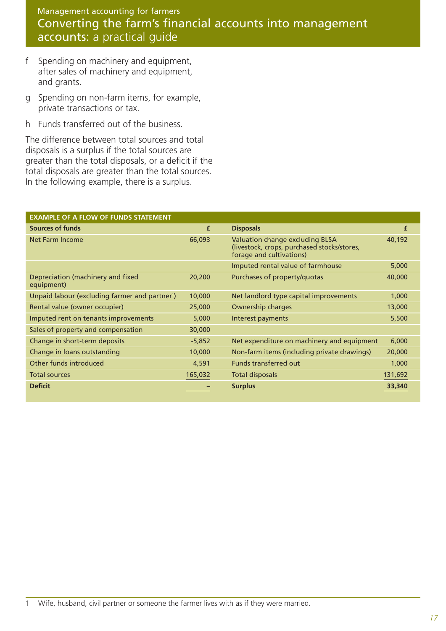- f Spending on machinery and equipment, after sales of machinery and equipment, and grants.
- g Spending on non-farm items, for example, private transactions or tax.
- h Funds transferred out of the business.

The difference between total sources and total disposals is a surplus if the total sources are greater than the total disposals, or a deficit if the total disposals are greater than the total sources. In the following example, there is a surplus.

| <b>EXAMPLE OF A FLOW OF FUNDS STATEMENT</b>                |          |                                                                                                            |         |
|------------------------------------------------------------|----------|------------------------------------------------------------------------------------------------------------|---------|
| <b>Sources of funds</b>                                    | £        | <b>Disposals</b>                                                                                           | £       |
| Net Farm Income                                            | 66,093   | Valuation change excluding BLSA<br>(livestock, crops, purchased stocks/stores,<br>forage and cultivations) | 40,192  |
|                                                            |          | Imputed rental value of farmhouse                                                                          | 5,000   |
| Depreciation (machinery and fixed<br>equipment)            | 20,200   | Purchases of property/quotas                                                                               | 40,000  |
| Unpaid labour (excluding farmer and partner <sup>1</sup> ) | 10,000   | Net landlord type capital improvements                                                                     | 1,000   |
| Rental value (owner occupier)                              | 25,000   | Ownership charges                                                                                          | 13,000  |
| Imputed rent on tenants improvements                       | 5,000    | Interest payments                                                                                          | 5,500   |
| Sales of property and compensation                         | 30,000   |                                                                                                            |         |
| Change in short-term deposits                              | $-5,852$ | Net expenditure on machinery and equipment                                                                 | 6,000   |
| Change in loans outstanding                                | 10,000   | Non-farm items (including private drawings)                                                                | 20,000  |
| Other funds introduced                                     | 4,591    | Funds transferred out                                                                                      | 1,000   |
| <b>Total sources</b>                                       | 165,032  | <b>Total disposals</b>                                                                                     | 131,692 |
| <b>Deficit</b>                                             |          | <b>Surplus</b>                                                                                             | 33,340  |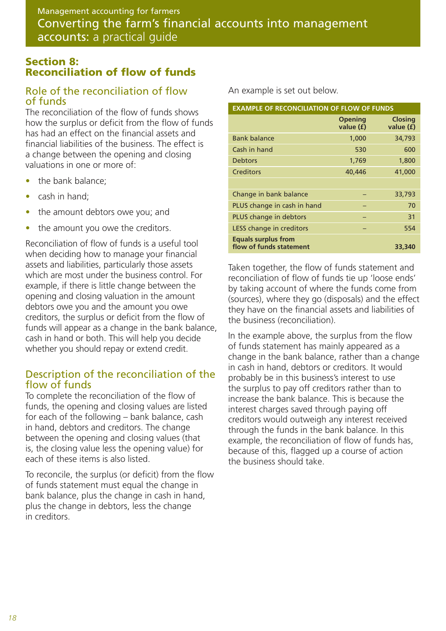### **Section 8: Reconciliation of flow of funds**

### Role of the reconciliation of flow of funds

The reconciliation of the flow of funds shows how the surplus or deficit from the flow of funds has had an effect on the financial assets and financial liabilities of the business. The effect is a change between the opening and closing valuations in one or more of:

- the bank balance;
- cash in hand;
- the amount debtors owe you; and
- the amount you owe the creditors.

Reconciliation of flow of funds is a useful tool when deciding how to manage your financial assets and liabilities, particularly those assets which are most under the business control. For example, if there is little change between the opening and closing valuation in the amount debtors owe you and the amount you owe creditors, the surplus or deficit from the flow of funds will appear as a change in the bank balance, cash in hand or both. This will help you decide whether you should repay or extend credit.

### Description of the reconciliation of the flow of funds

To complete the reconciliation of the flow of funds, the opening and closing values are listed for each of the following – bank balance, cash in hand, debtors and creditors. The change between the opening and closing values (that is, the closing value less the opening value) for each of these items is also listed.

To reconcile, the surplus (or deficit) from the flow of funds statement must equal the change in bank balance, plus the change in cash in hand, plus the change in debtors, less the change in creditors.

An example is set out below.

| <b>EXAMPLE OF RECONCILIATION OF FLOW OF FUNDS</b>     |                             |                             |  |  |
|-------------------------------------------------------|-----------------------------|-----------------------------|--|--|
|                                                       | <b>Opening</b><br>value (f) | <b>Closing</b><br>value (f) |  |  |
| <b>Bank balance</b>                                   | 1,000                       | 34,793                      |  |  |
| Cash in hand                                          | 530                         | 600                         |  |  |
| <b>Debtors</b>                                        | 1,769                       | 1,800                       |  |  |
| Creditors                                             | 40,446                      | 41,000                      |  |  |
|                                                       |                             |                             |  |  |
| Change in bank balance                                |                             | 33,793                      |  |  |
| PLUS change in cash in hand                           |                             | 70                          |  |  |
| PLUS change in debtors                                |                             | 31                          |  |  |
| LESS change in creditors                              |                             | 554                         |  |  |
| <b>Equals surplus from</b><br>flow of funds statement |                             | 33,340                      |  |  |

Taken together, the flow of funds statement and reconciliation of flow of funds tie up 'loose ends' by taking account of where the funds come from (sources), where they go (disposals) and the effect they have on the financial assets and liabilities of the business (reconciliation).

In the example above, the surplus from the flow of funds statement has mainly appeared as a change in the bank balance, rather than a change in cash in hand, debtors or creditors. It would probably be in this business's interest to use the surplus to pay off creditors rather than to increase the bank balance. This is because the interest charges saved through paying off creditors would outweigh any interest received through the funds in the bank balance. In this example, the reconciliation of flow of funds has, because of this, flagged up a course of action the business should take.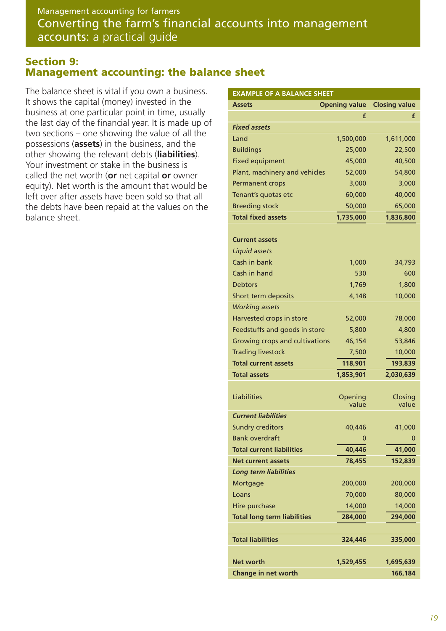#### **Section 9: Management accounting: the balance sheet**

The balance sheet is vital if you own a business. It shows the capital (money) invested in the business at one particular point in time, usually the last day of the financial year. It is made up of two sections – one showing the value of all the possessions (**assets**) in the business, and the other showing the relevant debts (**liabilities**). Your investment or stake in the business is called the net worth (**or** net capital **or** owner equity). Net worth is the amount that would be left over after assets have been sold so that all the debts have been repaid at the values on the balance sheet.

| <b>EXAMPLE OF A BALANCE SHEET</b>  |           |                                    |  |
|------------------------------------|-----------|------------------------------------|--|
| <b>Assets</b>                      |           | <b>Opening value Closing value</b> |  |
|                                    | £         | £                                  |  |
| <b>Fixed assets</b>                |           |                                    |  |
| Land                               | 1,500,000 | 1,611,000                          |  |
| <b>Buildings</b>                   | 25,000    | 22,500                             |  |
| <b>Fixed equipment</b>             | 45,000    | 40,500                             |  |
| Plant, machinery and vehicles      | 52,000    | 54,800                             |  |
| <b>Permanent crops</b>             | 3,000     | 3,000                              |  |
| Tenant's quotas etc                | 60,000    | 40,000                             |  |
| <b>Breeding stock</b>              | 50,000    | 65,000                             |  |
| <b>Total fixed assets</b>          | 1,735,000 | 1,836,800                          |  |
|                                    |           |                                    |  |
| <b>Current assets</b>              |           |                                    |  |
| Liquid assets                      |           |                                    |  |
| Cash in bank                       | 1,000     | 34,793                             |  |
| Cash in hand                       | 530       | 600                                |  |
| <b>Debtors</b>                     | 1,769     | 1,800                              |  |
| Short term deposits                | 4,148     | 10,000                             |  |
| <b>Working assets</b>              |           |                                    |  |
| Harvested crops in store           | 52,000    | 78,000                             |  |
| Feedstuffs and goods in store      | 5,800     | 4,800                              |  |
| Growing crops and cultivations     | 46,154    | 53,846                             |  |
| <b>Trading livestock</b>           | 7,500     | 10,000                             |  |
| <b>Total current assets</b>        | 118,901   | 193,839                            |  |
| <b>Total assets</b>                | 1,853,901 | 2,030,639                          |  |
|                                    |           |                                    |  |
| Liabilities                        | Opening   | Closing                            |  |
|                                    | value     | value                              |  |
| <b>Current liabilities</b>         |           |                                    |  |
| <b>Sundry creditors</b>            | 40,446    | 41,000                             |  |
| <b>Bank overdraft</b>              | 0         |                                    |  |
| <b>Total current liabilities</b>   | 40,446    | 41,000                             |  |
| <b>Net current assets</b>          | 78,455    | 152,839                            |  |
| <b>Long term liabilities</b>       |           |                                    |  |
| Mortgage                           | 200,000   | 200,000                            |  |
| Loans                              | 70,000    | 80,000                             |  |
| Hire purchase                      | 14,000    | 14,000                             |  |
| <b>Total long term liabilities</b> | 284,000   | 294,000                            |  |
|                                    |           |                                    |  |
| <b>Total liabilities</b>           | 324,446   | 335,000                            |  |
|                                    |           |                                    |  |
| Net worth                          | 1,529,455 | 1,695,639                          |  |
| <b>Change in net worth</b>         |           | 166,184                            |  |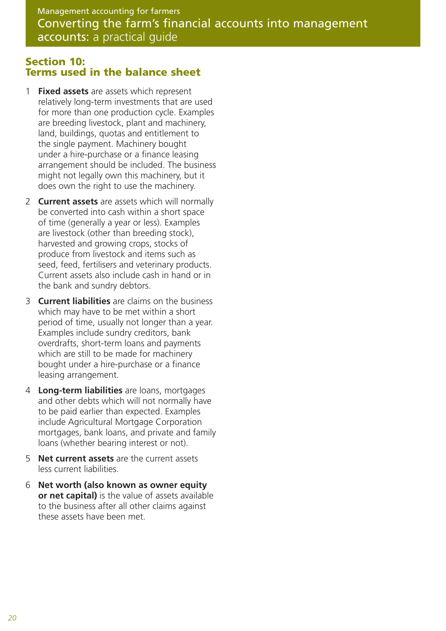#### **Section 10: Terms used in the balance sheet**

- 1 **Fixed assets** are assets which represent relatively long-term investments that are used for more than one production cycle. Examples are breeding livestock, plant and machinery, land, buildings, quotas and entitlement to the single payment. Machinery bought under a hire-purchase or a finance leasing arrangement should be included. The business might not legally own this machinery, but it does own the right to use the machinery.
- 2 **Current assets** are assets which will normally be converted into cash within a short space of time (generally a year or less). Examples are livestock (other than breeding stock), harvested and growing crops, stocks of produce from livestock and items such as seed, feed, fertilisers and veterinary products. Current assets also include cash in hand or in the bank and sundry debtors.
- 3 **Current liabilities** are claims on the business which may have to be met within a short period of time, usually not longer than a year. Examples include sundry creditors, bank overdrafts, short-term loans and payments which are still to be made for machinery bought under a hire-purchase or a finance leasing arrangement.
- 4 **Long-term liabilities** are loans, mortgages and other debts which will not normally have to be paid earlier than expected. Examples include Agricultural Mortgage Corporation mortgages, bank loans, and private and family loans (whether bearing interest or not).
- 5 **Net current assets** are the current assets less current liabilities.
- 6 **Net worth (also known as owner equity or net capital)** is the value of assets available to the business after all other claims against these assets have been met.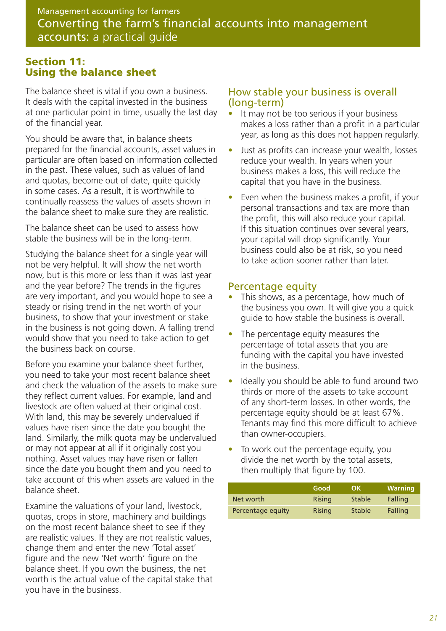### **Section 11: Using the balance sheet**

The balance sheet is vital if you own a business. It deals with the capital invested in the business at one particular point in time, usually the last day of the financial year.

You should be aware that, in balance sheets prepared for the financial accounts, asset values in particular are often based on information collected in the past. These values, such as values of land and quotas, become out of date, quite quickly in some cases. As a result, it is worthwhile to continually reassess the values of assets shown in the balance sheet to make sure they are realistic.

The balance sheet can be used to assess how stable the business will be in the long-term.

Studying the balance sheet for a single year will not be very helpful. It will show the net worth now, but is this more or less than it was last year and the year before? The trends in the figures are very important, and you would hope to see a steady or rising trend in the net worth of your business, to show that your investment or stake in the business is not going down. A falling trend would show that you need to take action to get the business back on course.

Before you examine your balance sheet further, you need to take your most recent balance sheet and check the valuation of the assets to make sure they reflect current values. For example, land and livestock are often valued at their original cost. With land, this may be severely undervalued if values have risen since the date you bought the land. Similarly, the milk quota may be undervalued or may not appear at all if it originally cost you nothing. Asset values may have risen or fallen since the date you bought them and you need to take account of this when assets are valued in the balance sheet.

Examine the valuations of your land, livestock, quotas, crops in store, machinery and buildings on the most recent balance sheet to see if they are realistic values. If they are not realistic values, change them and enter the new 'Total asset' figure and the new 'Net worth' figure on the balance sheet. If you own the business, the net worth is the actual value of the capital stake that you have in the business.

#### How stable your business is overall (long-term)

- It may not be too serious if your business makes a loss rather than a profit in a particular year, as long as this does not happen regularly.
- Just as profits can increase your wealth, losses reduce your wealth. In years when your business makes a loss, this will reduce the capital that you have in the business.
- Even when the business makes a profit, if your personal transactions and tax are more than the profit, this will also reduce your capital. If this situation continues over several years, your capital will drop significantly. Your business could also be at risk, so you need to take action sooner rather than later.

#### Percentage equity

- This shows, as a percentage, how much of the business you own. It will give you a quick guide to how stable the business is overall.
- The percentage equity measures the percentage of total assets that you are funding with the capital you have invested in the business.
- Ideally you should be able to fund around two thirds or more of the assets to take account of any short-term losses. In other words, the percentage equity should be at least 67%. Tenants may find this more difficult to achieve than owner-occupiers.
- To work out the percentage equity, you divide the net worth by the total assets, then multiply that figure by 100.

|                   | Good   | OK            | <b>Warning</b> |
|-------------------|--------|---------------|----------------|
| Net worth         | Rising | <b>Stable</b> | Falling        |
| Percentage equity | Rising | <b>Stable</b> | Falling        |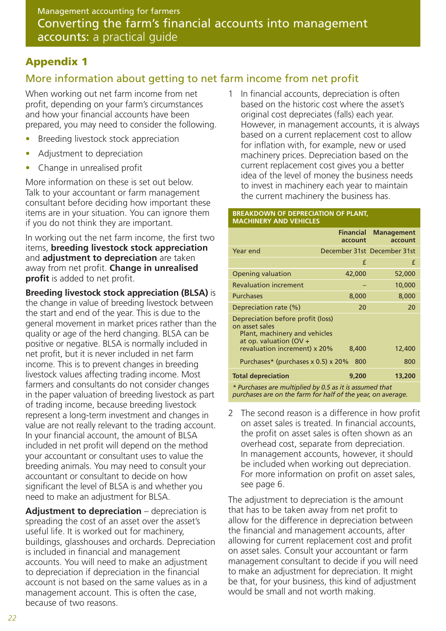# **Appendix 1**

# More information about getting to net farm income from net profit

When working out net farm income from net profit, depending on your farm's circumstances and how your financial accounts have been prepared, you may need to consider the following.

- Breeding livestock stock appreciation
- Adjustment to depreciation
- Change in unrealised profit

More information on these is set out below. Talk to your accountant or farm management consultant before deciding how important these items are in your situation. You can ignore them if you do not think they are important.

In working out the net farm income, the first two items, **breeding livestock stock appreciation** and **adjustment to depreciation** are taken away from net profit. **Change in unrealised profit** is added to net profit.

**Breeding livestock stock appreciation (BLSA)** is the change in value of breeding livestock between the start and end of the year. This is due to the general movement in market prices rather than the quality or age of the herd changing. BLSA can be positive or negative. BLSA is normally included in net profit, but it is never included in net farm income. This is to prevent changes in breeding livestock values affecting trading income. Most farmers and consultants do not consider changes in the paper valuation of breeding livestock as part of trading income, because breeding livestock represent a long-term investment and changes in value are not really relevant to the trading account. In your financial account, the amount of BLSA included in net profit will depend on the method your accountant or consultant uses to value the breeding animals. You may need to consult your accountant or consultant to decide on how significant the level of BLSA is and whether you need to make an adjustment for BLSA.

**Adjustment to depreciation** – depreciation is spreading the cost of an asset over the asset's useful life. It is worked out for machinery, buildings, glasshouses and orchards. Depreciation is included in financial and management accounts. You will need to make an adjustment to depreciation if depreciation in the financial account is not based on the same values as in a management account. This is often the case, because of two reasons.

1 In financial accounts, depreciation is often based on the historic cost where the asset's original cost depreciates (falls) each year. However, in management accounts, it is always based on a current replacement cost to allow for inflation with, for example, new or used machinery prices. Depreciation based on the current replacement cost gives you a better idea of the level of money the business needs to invest in machinery each year to maintain the current machinery the business has.

#### **BREAKDOWN OF DEPRECIATION OF PLANT, MACHINERY AND VEHICLES**

|                                                                                                                                                | <b>Financial</b><br>account | <b>Management</b><br>account |
|------------------------------------------------------------------------------------------------------------------------------------------------|-----------------------------|------------------------------|
| Year end                                                                                                                                       |                             | December 31st December 31st  |
|                                                                                                                                                | £                           | £                            |
| <b>Opening valuation</b>                                                                                                                       | 42,000                      | 52,000                       |
| <b>Revaluation increment</b>                                                                                                                   |                             | 10,000                       |
| <b>Purchases</b>                                                                                                                               | 8,000                       | 8,000                        |
| Depreciation rate (%)                                                                                                                          | 20                          | 20                           |
| Depreciation before profit (loss)<br>on asset sales<br>Plant, machinery and vehicles<br>at op. valuation (OV +<br>revaluation increment) x 20% | 8,400                       | 12,400                       |
| Purchases* (purchases x 0.5) x 20%                                                                                                             | 800                         | 800                          |
| <b>Total depreciation</b>                                                                                                                      | 9,200                       | 13,200                       |
| * Purchases are multiplied by 0.5 as it is assumed that                                                                                        |                             |                              |

*purchases are on the farm for half of the year, on average.*

2 The second reason is a difference in how profit on asset sales is treated. In financial accounts, the profit on asset sales is often shown as an overhead cost, separate from depreciation. In management accounts, however, it should be included when working out depreciation. For more information on profit on asset sales, see page 6.

The adjustment to depreciation is the amount that has to be taken away from net profit to allow for the difference in depreciation between the financial and management accounts, after allowing for current replacement cost and profit on asset sales. Consult your accountant or farm management consultant to decide if you will need to make an adjustment for depreciation. It might be that, for your business, this kind of adjustment would be small and not worth making.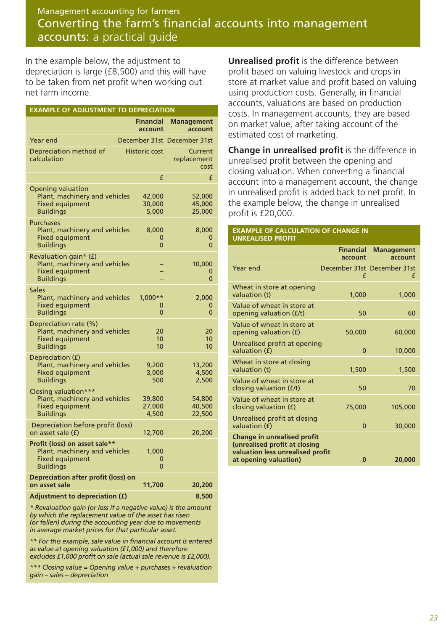In the example below, the adjustment to depreciation is large (£8,500) and this will have to be taken from net profit when working out net farm income.

| <b>EXAMPLE OF ADJUSTMENT TO DEPRECIATION</b>                                                                 |                               |                                |
|--------------------------------------------------------------------------------------------------------------|-------------------------------|--------------------------------|
|                                                                                                              | <b>Financial</b><br>account   | <b>Management</b><br>account   |
| Year end                                                                                                     |                               | December 31st December 31st    |
| Depreciation method of<br>calculation                                                                        | <b>Historic cost</b>          | Current<br>replacement<br>cost |
|                                                                                                              | £                             | £                              |
| <b>Opening valuation</b><br>Plant, machinery and vehicles<br><b>Fixed equipment</b><br><b>Buildings</b>      | 42,000<br>30,000<br>5,000     | 52,000<br>45,000<br>25,000     |
| <b>Purchases</b><br>Plant, machinery and vehicles<br><b>Fixed equipment</b><br><b>Buildings</b>              | 8,000<br>0<br>$\overline{0}$  | 8,000<br>0<br>0                |
| Revaluation gain* (f)<br>Plant, machinery and vehicles<br><b>Fixed equipment</b><br><b>Buildings</b>         |                               | 10,000<br>0<br>0               |
| Sales<br>Plant, machinery and vehicles<br><b>Fixed equipment</b><br><b>Buildings</b>                         | $1,000**$<br>0<br>$\mathbf 0$ | 2,000<br>0<br>0                |
| Depreciation rate (%)<br>Plant, machinery and vehicles<br><b>Fixed equipment</b><br><b>Buildings</b>         | 20<br>10<br>10                | 20<br>10<br>10                 |
| Depreciation (f)<br>Plant, machinery and vehicles<br><b>Fixed equipment</b><br><b>Buildings</b>              | 9,200<br>3,000<br>500         | 13,200<br>4,500<br>2,500       |
| Closing valuation***<br>Plant, machinery and vehicles<br><b>Fixed equipment</b><br><b>Buildings</b>          | 39,800<br>27,000<br>4,500     | 54,800<br>40,500<br>22,500     |
| Depreciation before profit (loss)<br>on asset sale (f)                                                       | 12,700                        | 20,200                         |
| Profit (loss) on asset sale**<br>Plant, machinery and vehicles<br><b>Fixed equipment</b><br><b>Buildings</b> | 1,000<br>0<br>$\overline{0}$  |                                |
| <b>Depreciation after profit (loss) on</b><br>on asset sale                                                  | 11,700                        | 20,200                         |
| <b>Adjustment to depreciation (f)</b>                                                                        |                               | 8,500                          |

*\* Revaluation gain (or loss if a negative value) is the amount by which the replacement value of the asset has risen (or fallen) during the accounting year due to movements in average market prices for that particular asset.* 

*\*\* For this example, sale value in financial account is entered as value at opening valuation (£1,000) and therefore excludes £1,000 profit on sale (actual sale revenue is £2,000).*

*\*\*\* Closing value = Opening value + purchases + revaluation gain – sales – depreciation*

**Unrealised profit** is the difference between profit based on valuing livestock and crops in store at market value and profit based on valuing using production costs. Generally, in financial accounts, valuations are based on production costs. In management accounts, they are based on market value, after taking account of the estimated cost of marketing.

**Change in unrealised profit** is the difference in unrealised profit between the opening and closing valuation. When converting a financial account into a management account, the change in unrealised profit is added back to net profit. In the example below, the change in unrealised profit is £20,000.

#### **EXAMPLE OF CALCULATION OF CHANGE IN UNREALISED PROFIT**

|                                                                                                                                  | <b>Financial</b><br>account | <b>Management</b><br>account     |
|----------------------------------------------------------------------------------------------------------------------------------|-----------------------------|----------------------------------|
| Year end                                                                                                                         | £                           | December 31st December 31st<br>£ |
| Wheat in store at opening<br>valuation (t)                                                                                       | 1,000                       | 1,000                            |
| Value of wheat in store at<br>opening valuation ( <i>f</i> /t)                                                                   | 50                          | 60                               |
| Value of wheat in store at<br>opening valuation (£)                                                                              | 50,000                      | 60,000                           |
| Unrealised profit at opening<br>valuation (f)                                                                                    | $\mathbf{0}$                | 10,000                           |
| Wheat in store at closing<br>valuation (t)                                                                                       | 1,500                       | 1,500                            |
| Value of wheat in store at<br>closing valuation (£/t)                                                                            | 50                          | 70                               |
| Value of wheat in store at<br>closing valuation $(f)$                                                                            | 75,000                      | 105,000                          |
| Unrealised profit at closing<br>valuation (f)                                                                                    | $\mathbf{0}$                | 30,000                           |
| <b>Change in unrealised profit</b><br>(unrealised profit at closing<br>valuation less unrealised profit<br>at opening valuation) | $\bf{0}$                    | 20,000                           |
|                                                                                                                                  |                             |                                  |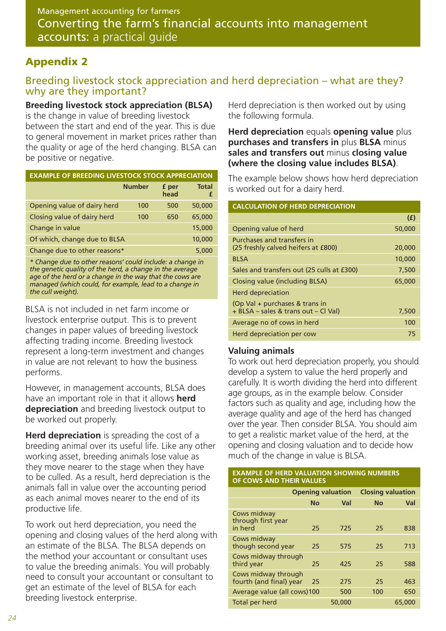### **Appendix 2**

### Breeding livestock stock appreciation and herd depreciation – what are they? why are they important?

#### **Breeding livestock stock appreciation (BLSA)**

is the change in value of breeding livestock between the start and end of the year. This is due to general movement in market prices rather than the quality or age of the herd changing. BLSA can

|  | be positive or negative. |  |  |  |  |
|--|--------------------------|--|--|--|--|
|  |                          |  |  |  |  |

| <b>EXAMPLE OF BREEDING LIVESTOCK STOCK APPRECIATION</b> |               |               |                   |  |  |
|---------------------------------------------------------|---------------|---------------|-------------------|--|--|
|                                                         | <b>Number</b> | f per<br>head | <b>Total</b><br>£ |  |  |
| Opening value of dairy herd                             | 100           | 500           | 50,000            |  |  |
| Closing value of dairy herd                             | 100           | 650           | 65,000            |  |  |
| Change in value                                         |               |               | 15,000            |  |  |
| Of which, change due to BLSA                            |               |               | 10,000            |  |  |
| Change due to other reasons*                            |               |               | 5,000             |  |  |

*\* Change due to other reasons' could include: a change in the genetic quality of the herd, a change in the average age of the herd or a change in the way that the cows are managed (which could, for example, lead to a change in the cull weight).*

BLSA is not included in net farm income or livestock enterprise output. This is to prevent changes in paper values of breeding livestock affecting trading income. Breeding livestock represent a long-term investment and changes in value are not relevant to how the business performs.

However, in management accounts, BLSA does have an important role in that it allows **herd depreciation** and breeding livestock output to be worked out properly.

**Herd depreciation** is spreading the cost of a breeding animal over its useful life. Like any other working asset, breeding animals lose value as they move nearer to the stage when they have to be culled. As a result, herd depreciation is the animals fall in value over the accounting period as each animal moves nearer to the end of its productive life.

To work out herd depreciation, you need the opening and closing values of the herd along with an estimate of the BLSA. The BLSA depends on the method your accountant or consultant uses to value the breeding animals. You will probably need to consult your accountant or consultant to get an estimate of the level of BLSA for each breeding livestock enterprise.

Herd depreciation is then worked out by using the following formula.

**Herd depreciation** equals **opening value** plus **purchases and transfers in** plus **BLSA** minus **sales and transfers out** minus **closing value (where the closing value includes BLSA)**.

The example below shows how herd depreciation is worked out for a dairy herd.

#### **CALCULATION OF HERD DEPRECIATION**

|                                                                        | (E)    |
|------------------------------------------------------------------------|--------|
| Opening value of herd                                                  | 50,000 |
| Purchases and transfers in<br>(25 freshly calved heifers at £800)      | 20,000 |
| <b>BLSA</b>                                                            | 10,000 |
| Sales and transfers out (25 culls at £300)                             | 7,500  |
| Closing value (including BLSA)                                         | 65,000 |
| Herd depreciation                                                      |        |
| (Op Val + purchases & trans in<br>+ BLSA – sales & trans out – Cl Val) | 7,500  |
| Average no of cows in herd                                             | 100    |
| Herd depreciation per cow                                              | 75     |

#### **Valuing animals**

To work out herd depreciation properly, you should develop a system to value the herd properly and carefully. It is worth dividing the herd into different age groups, as in the example below. Consider factors such as quality and age, including how the average quality and age of the herd has changed over the year. Then consider BLSA. You should aim to get a realistic market value of the herd, at the opening and closing valuation and to decide how much of the change in value is BLSA.

#### **EXAMPLE OF HERD VALUATION SHOWING NUMBERS OF COWS AND THEIR VALUES**

|                                                |           | <b>Opening valuation</b> | <b>Closing valuation</b> |        |
|------------------------------------------------|-----------|--------------------------|--------------------------|--------|
|                                                | <b>No</b> | Val                      | <b>No</b>                | Val    |
| Cows midway<br>through first year<br>in herd   | 25        | 725                      | 25                       | 838    |
| Cows midway<br>though second year              | 25        | 575                      | 25                       | 713    |
| Cows midway through<br>third year              | 25        | 425                      | 25                       | 588    |
| Cows midway through<br>fourth (and final) year | 25        | 275                      | 25                       | 463    |
| Average value (all cows)100                    |           | 500                      | 100                      | 650    |
| Total per herd                                 |           | 50,000                   |                          | 65,000 |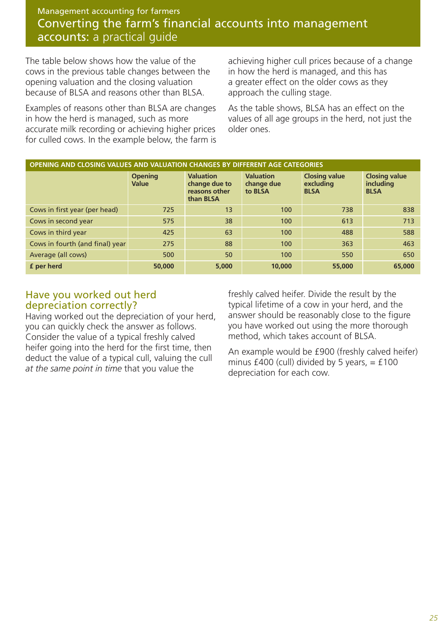The table below shows how the value of the cows in the previous table changes between the opening valuation and the closing valuation because of BLSA and reasons other than BLSA.

Examples of reasons other than BLSA are changes in how the herd is managed, such as more accurate milk recording or achieving higher prices for culled cows. In the example below, the farm is achieving higher cull prices because of a change in how the herd is managed, and this has a greater effect on the older cows as they approach the culling stage.

As the table shows, BLSA has an effect on the values of all age groups in the herd, not just the older ones.

| OPENING AND CLOSING VALUES AND VALUATION CHANGES BY DIFFERENT AGE CATEGORIES |                                |                                                                 |                                           |                                                  |                                                  |  |  |  |
|------------------------------------------------------------------------------|--------------------------------|-----------------------------------------------------------------|-------------------------------------------|--------------------------------------------------|--------------------------------------------------|--|--|--|
|                                                                              | <b>Opening</b><br><b>Value</b> | <b>Valuation</b><br>change due to<br>reasons other<br>than BLSA | <b>Valuation</b><br>change due<br>to BLSA | <b>Closing value</b><br>excluding<br><b>BLSA</b> | <b>Closing value</b><br>including<br><b>BLSA</b> |  |  |  |
| Cows in first year (per head)                                                | 725                            | 13                                                              | 100                                       | 738                                              | 838                                              |  |  |  |
| Cows in second year                                                          | 575                            | 38                                                              | 100                                       | 613                                              | 713                                              |  |  |  |
| Cows in third year                                                           | 425                            | 63                                                              | 100                                       | 488                                              | 588                                              |  |  |  |
| Cows in fourth (and final) year                                              | 275                            | 88                                                              | 100                                       | 363                                              | 463                                              |  |  |  |
| Average (all cows)                                                           | 500                            | 50                                                              | 100                                       | 550                                              | 650                                              |  |  |  |
| <b>f</b> per herd                                                            | 50,000                         | 5,000                                                           | 10,000                                    | 55,000                                           | 65,000                                           |  |  |  |

#### Have you worked out herd depreciation correctly?

Having worked out the depreciation of your herd, you can quickly check the answer as follows. Consider the value of a typical freshly calved heifer going into the herd for the first time, then deduct the value of a typical cull, valuing the cull *at the same point in time* that you value the

freshly calved heifer. Divide the result by the typical lifetime of a cow in your herd, and the answer should be reasonably close to the figure you have worked out using the more thorough method, which takes account of BLSA.

An example would be £900 (freshly calved heifer) minus  $£400$  (cull) divided by 5 years,  $= £100$ depreciation for each cow.